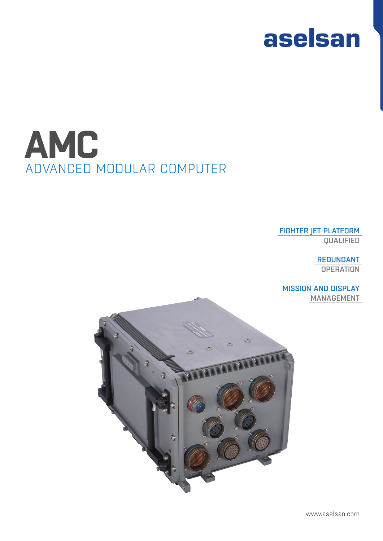

## ADVANCED MODULAR COMPUTER **AMC**

#### FIGHTER JET PLATFORM QUALIFIED

REDUNDANT **OPERATION** 

MISSION AND DISPLAY MANAGEMENT



www.aselsan.com